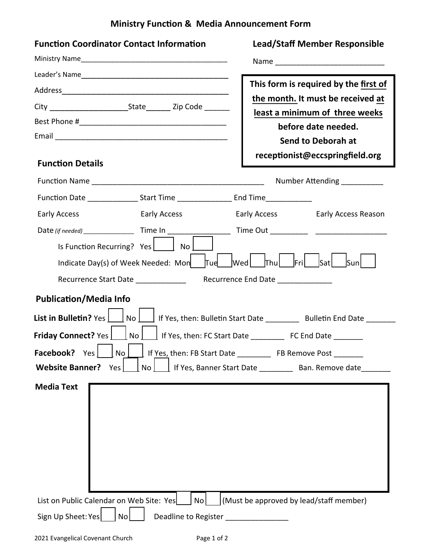## **Ministry Function & Media Announcement Form**

| <b>Function Coordinator Contact Information</b>                                                                                                                                                                            | <b>Lead/Staff Member Responsible</b>                                       |  |  |  |  |  |
|----------------------------------------------------------------------------------------------------------------------------------------------------------------------------------------------------------------------------|----------------------------------------------------------------------------|--|--|--|--|--|
|                                                                                                                                                                                                                            |                                                                            |  |  |  |  |  |
|                                                                                                                                                                                                                            |                                                                            |  |  |  |  |  |
|                                                                                                                                                                                                                            | This form is required by the first of<br>the month. It must be received at |  |  |  |  |  |
|                                                                                                                                                                                                                            | least a minimum of three weeks                                             |  |  |  |  |  |
|                                                                                                                                                                                                                            | before date needed.                                                        |  |  |  |  |  |
|                                                                                                                                                                                                                            | <b>Send to Deborah at</b>                                                  |  |  |  |  |  |
| <b>Function Details</b>                                                                                                                                                                                                    | receptionist@eccspringfield.org                                            |  |  |  |  |  |
|                                                                                                                                                                                                                            | Number Attending ___________                                               |  |  |  |  |  |
| Function Date _________________Start Time _______________________End Time_______________                                                                                                                                   |                                                                            |  |  |  |  |  |
| Early Access<br><b>Early Access</b>                                                                                                                                                                                        | Early Access Early Access Reason                                           |  |  |  |  |  |
|                                                                                                                                                                                                                            |                                                                            |  |  |  |  |  |
| Is Function Recurring? Yes   No                                                                                                                                                                                            |                                                                            |  |  |  |  |  |
| Indicate Day(s) of Week Needed: Mon $\left  \begin{array}{cc} \text{d} & \text{d} \\ \text{d} & \text{d} \end{array} \right $ at $\left  \begin{array}{cc} \text{d} & \text{d} \\ \text{d} & \text{d} \end{array} \right $ |                                                                            |  |  |  |  |  |
| Recurrence End Date ______________<br>Recurrence Start Date _____________                                                                                                                                                  |                                                                            |  |  |  |  |  |
| <b>Publication/Media Info</b>                                                                                                                                                                                              |                                                                            |  |  |  |  |  |
| List in Bulletin? Yes     No     If Yes, then: Bulletin Start Date ________ Bulletin End Date ______                                                                                                                       |                                                                            |  |  |  |  |  |
| Friday Connect? Yes     No     If Yes, then: FC Start Date _________ FC End Date ______                                                                                                                                    |                                                                            |  |  |  |  |  |
| <b>Facebook?</b> Yes No I If Yes, then: FB Start Date The Remove Post                                                                                                                                                      |                                                                            |  |  |  |  |  |
| <b>Website Banner?</b><br>Yes  <br>No <sub>1</sub>                                                                                                                                                                         | l If Yes, Banner Start Date __________ Ban. Remove date                    |  |  |  |  |  |
| <b>Media Text</b>                                                                                                                                                                                                          |                                                                            |  |  |  |  |  |
| List on Public Calendar on Web Site: Yes<br>No I                                                                                                                                                                           | (Must be approved by lead/staff member)                                    |  |  |  |  |  |
| Sign Up Sheet: Yes<br>No<br>Deadline to Register                                                                                                                                                                           |                                                                            |  |  |  |  |  |